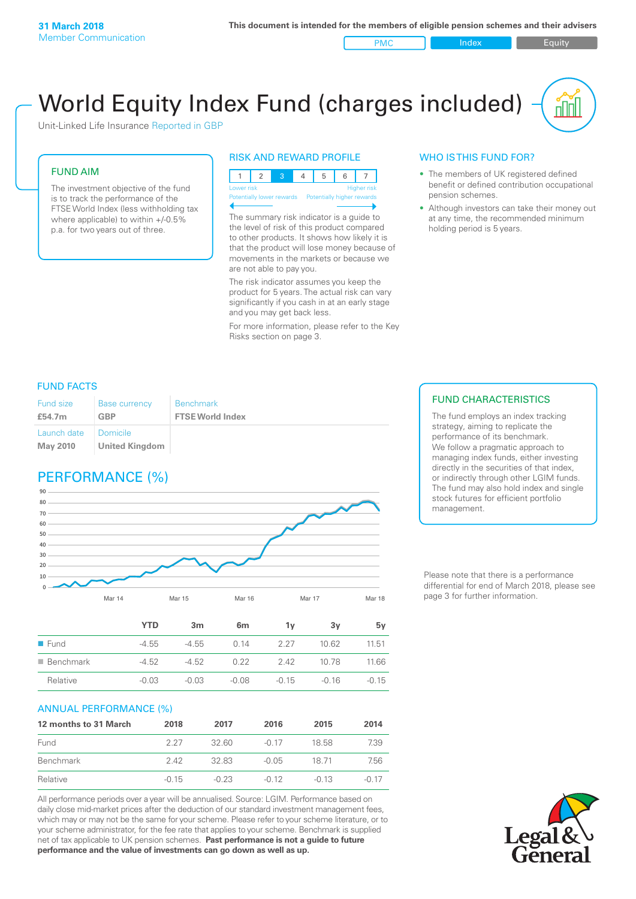PMC Index Index Equity

# World Equity Index Fund (charges included)

Unit-Linked Life Insurance Reported in GBP

#### FUND AIM

The investment objective of the fund is to track the performance of the FTSE World Index (less withholding tax where applicable) to within +/-0.5% p.a. for two years out of three.

#### RISK AND REWARD PROFILE



The summary risk indicator is a guide to the level of risk of this product compared to other products. It shows how likely it is that the product will lose money because of movements in the markets or because we are not able to pay you.

The risk indicator assumes you keep the product for 5 years. The actual risk can vary significantly if you cash in at an early stage and you may get back less.

For more information, please refer to the Key Risks section on page 3.

#### WHO IS THIS FUND FOR?

- The members of UK registered defined benefit or defined contribution occupational pension schemes.
- Although investors can take their money out at any time, the recommended minimum holding period is 5 years.

#### FUND FACTS

| <b>Fund size</b>               | <b>Base currency</b>              | <b>Benchmark</b>        |
|--------------------------------|-----------------------------------|-------------------------|
| £54.7m                         | <b>GBP</b>                        | <b>FTSE World Index</b> |
| Launch date<br><b>May 2010</b> | Domicile<br><b>United Kingdom</b> |                         |

## PERFORMANCE (%)



|                          | <b>YTD</b> | 3m      | 6 <sub>m</sub> | ٦v      | 3v      | 5v      |
|--------------------------|------------|---------|----------------|---------|---------|---------|
| $\blacksquare$ Fund      | $-4.55$    | $-455$  | 0.14           | 2 27    | 10.62   | 11.51   |
| $\blacksquare$ Benchmark | $-4.52$    | $-4.52$ | 0.22           | 2.42    | 10.78   | 11.66   |
| Relative                 | $-0.03$    | $-0.03$ | $-0.08$        | $-0.15$ | $-0.16$ | $-0.15$ |

#### ANNUAL PERFORMANCE (%)

| 12 months to 31 March | 2018    | 2017    | 2016    | 2015    | 2014  |
|-----------------------|---------|---------|---------|---------|-------|
| Fund                  | 227     | 32.60   | $-0.17$ | 18.58   | 7.39  |
| Benchmark             | 242     | 32.83   | $-0.05$ | 18.71   | 7.56  |
| Relative              | $-0.15$ | $-0.23$ | $-0.12$ | $-0.13$ | -0.17 |

All performance periods over a year will be annualised. Source: LGIM. Performance based on daily close mid-market prices after the deduction of our standard investment management fees, which may or may not be the same for your scheme. Please refer to your scheme literature, or to your scheme administrator, for the fee rate that applies to your scheme. Benchmark is supplied net of tax applicable to UK pension schemes. **Past performance is not a guide to future performance and the value of investments can go down as well as up.**

#### FUND CHARACTERISTICS

The fund employs an index tracking strategy, aiming to replicate the performance of its benchmark. We follow a pragmatic approach to managing index funds, either investing directly in the securities of that index, or indirectly through other LGIM funds. The fund may also hold index and single stock futures for efficient portfolio management.

Please note that there is a performance differential for end of March 2018, please see page 3 for further information.

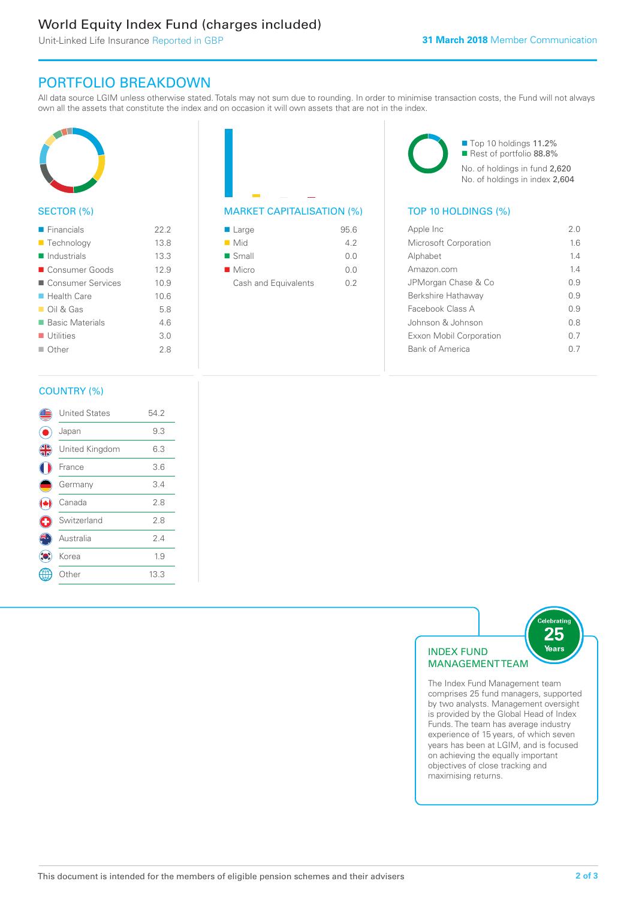# World Equity Index Fund (charges included)

Unit-Linked Life Insurance Reported in GBP

# PORTFOLIO BREAKDOWN

All data source LGIM unless otherwise stated. Totals may not sum due to rounding. In order to minimise transaction costs, the Fund will not always own all the assets that constitute the index and on occasion it will own assets that are not in the index.



#### SECTOR (%)

| $\blacksquare$ Financials  | 22.2 |
|----------------------------|------|
| ■ Technology               | 13.8 |
| Industrials                | 13.3 |
| ■ Consumer Goods           | 12.9 |
| ■ Consumer Services        | 10.9 |
| $\blacksquare$ Health Care | 10.6 |
| $\Box$ Oil & Gas           | 58   |
| ■ Basic Materials          | 46   |
| $\blacksquare$ Utilities   | 3.0  |
| Other                      | 28   |



#### MARKET CAPITALISATION (%) TOP 10 HOLDINGS (%)

| $\blacksquare$ Large | 95.6 |
|----------------------|------|
| $\blacksquare$ Mid   | 42   |
| $\blacksquare$ Small | 0.0  |
| $\blacksquare$ Micro | 0.0  |
| Cash and Equivalents | 02   |

■ Top 10 holdings 11.2% Rest of portfolio 88.8% No. of holdings in fund 2,620 No. of holdings in index 2,604

| Apple Inc                    | 2.0 |
|------------------------------|-----|
| <b>Microsoft Corporation</b> | 16  |
| Alphabet                     | 14  |
| Amazon com                   | 14  |
| JPMorgan Chase & Co          | O 9 |
| Berkshire Hathaway           | 0.9 |
| Facebook Class A             | 09  |
| Johnson & Johnson            | 0 S |
| Exxon Mobil Corporation      | ი 7 |
| <b>Bank of America</b>       |     |
|                              |     |

### COUNTRY (%)

|               | <b>United States</b> | 54.2 |  |
|---------------|----------------------|------|--|
|               | Japan                | 9.3  |  |
| $\frac{4}{5}$ | United Kingdom       | 6.3  |  |
|               | France               | 3.6  |  |
|               | Germany              | 3.4  |  |
|               | Canada               | 2.8  |  |
| υ             | Switzerland          | 2.8  |  |
|               | Australia            | 2.4  |  |
|               | Korea                | 1.9  |  |
|               | Other                | 13.3 |  |
|               |                      |      |  |



The Index Fund Management team comprises 25 fund managers, supported by two analysts. Management oversight is provided by the Global Head of Index Funds. The team has average industry experience of 15 years, of which seven years has been at LGIM, and is focused on achieving the equally important objectives of close tracking and maximising returns.

elebratin<sup>:</sup>